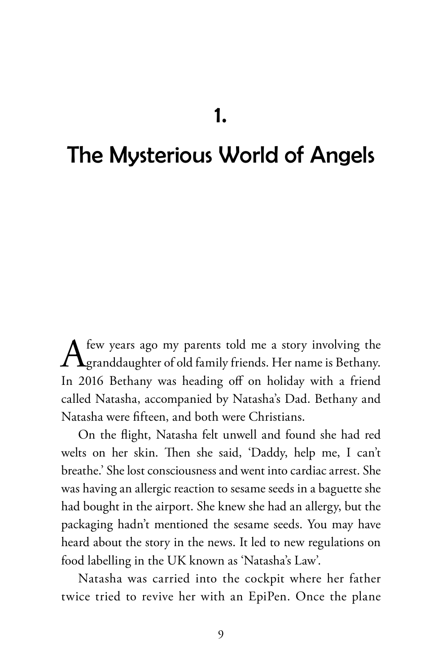# The Mysterious World of Angels

 $A$  few years ago my parents told me a story involving the granddaughter of old family friends. Her name is Bethany. In 2016 Bethany was heading off on holiday with a friend called Natasha, accompanied by Natasha's Dad. Bethany and Natasha were fifteen, and both were Christians.

On the flight, Natasha felt unwell and found she had red welts on her skin. Then she said, 'Daddy, help me, I can't breathe.' She lost consciousness and went into cardiac arrest. She was having an allergic reaction to sesame seeds in a baguette she had bought in the airport. She knew she had an allergy, but the packaging hadn't mentioned the sesame seeds. You may have heard about the story in the news. It led to new regulations on food labelling in the UK known as 'Natasha's Law'.

Natasha was carried into the cockpit where her father twice tried to revive her with an EpiPen. Once the plane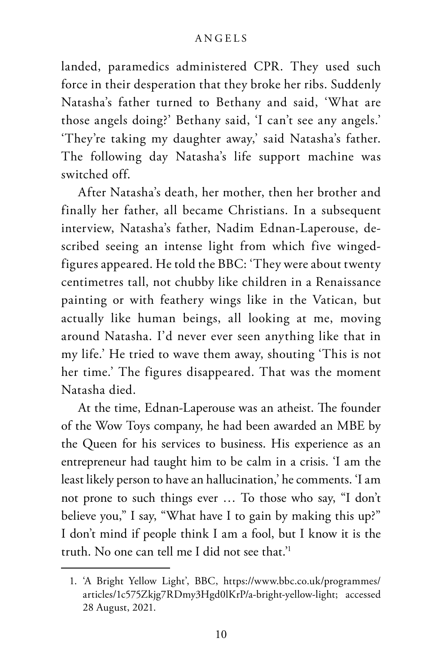landed, paramedics administered CPR. They used such force in their desperation that they broke her ribs. Suddenly Natasha's father turned to Bethany and said, 'What are those angels doing?' Bethany said, 'I can't see any angels.' 'They're taking my daughter away,' said Natasha's father. The following day Natasha's life support machine was switched off.

After Natasha's death, her mother, then her brother and finally her father, all became Christians. In a subsequent interview, Natasha's father, Nadim Ednan-Laperouse, described seeing an intense light from which five wingedfigures appeared. He told the BBC: 'They were about twenty centimetres tall, not chubby like children in a Renaissance painting or with feathery wings like in the Vatican, but actually like human beings, all looking at me, moving around Natasha. I'd never ever seen anything like that in my life.' He tried to wave them away, shouting 'This is not her time.' The figures disappeared. That was the moment Natasha died.

At the time, Ednan-Laperouse was an atheist. The founder of the Wow Toys company, he had been awarded an MBE by the Queen for his services to business. His experience as an entrepreneur had taught him to be calm in a crisis. 'I am the least likely person to have an hallucination,' he comments. 'I am not prone to such things ever … To those who say, "I don't believe you," I say, "What have I to gain by making this up?" I don't mind if people think I am a fool, but I know it is the truth. No one can tell me I did not see that.'1

 <sup>1.</sup> 'A Bright Yellow Light', BBC, https://www.bbc.co.uk/programmes/ articles/1c575Zkjg7RDmy3Hgd0lKrP/a-bright-yellow-light; accessed 28 August, 2021.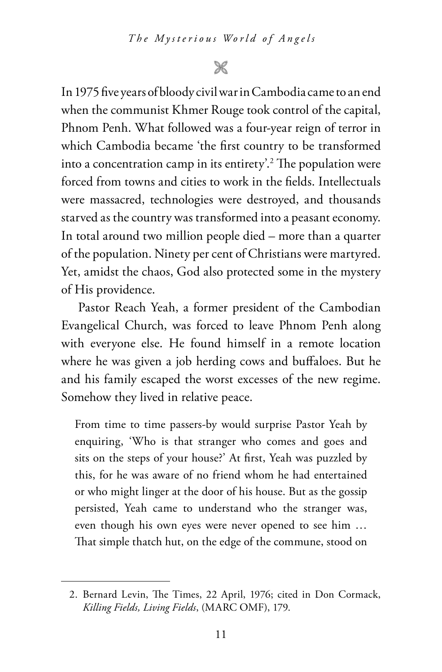# $\mathbb{R}$

In 1975 five years of bloody civil war in Cambodia came to an end when the communist Khmer Rouge took control of the capital, Phnom Penh. What followed was a four-year reign of terror in which Cambodia became 'the first country to be transformed into a concentration camp in its entirety'.2 The population were forced from towns and cities to work in the fields. Intellectuals were massacred, technologies were destroyed, and thousands starved as the country was transformed into a peasant economy. In total around two million people died – more than a quarter of the population. Ninety per cent of Christians were martyred. Yet, amidst the chaos, God also protected some in the mystery of His providence.

Pastor Reach Yeah, a former president of the Cambodian Evangelical Church, was forced to leave Phnom Penh along with everyone else. He found himself in a remote location where he was given a job herding cows and buffaloes. But he and his family escaped the worst excesses of the new regime. Somehow they lived in relative peace.

From time to time passers-by would surprise Pastor Yeah by enquiring, 'Who is that stranger who comes and goes and sits on the steps of your house?' At first, Yeah was puzzled by this, for he was aware of no friend whom he had entertained or who might linger at the door of his house. But as the gossip persisted, Yeah came to understand who the stranger was, even though his own eyes were never opened to see him … That simple thatch hut, on the edge of the commune, stood on

 <sup>2.</sup> Bernard Levin, The Times, 22 April, 1976; cited in Don Cormack, *Killing Fields, Living Fields*, (MARC OMF), 179.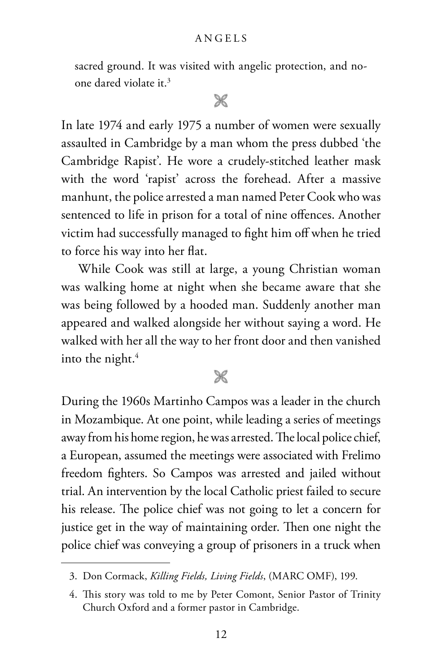sacred ground. It was visited with angelic protection, and noone dared violate it.3

### $\mathscr{L}$

In late 1974 and early 1975 a number of women were sexually assaulted in Cambridge by a man whom the press dubbed 'the Cambridge Rapist'. He wore a crudely-stitched leather mask with the word 'rapist' across the forehead. After a massive manhunt, the police arrested a man named Peter Cook who was sentenced to life in prison for a total of nine offences. Another victim had successfully managed to fight him off when he tried to force his way into her flat.

While Cook was still at large, a young Christian woman was walking home at night when she became aware that she was being followed by a hooded man. Suddenly another man appeared and walked alongside her without saying a word. He walked with her all the way to her front door and then vanished into the night.<sup>4</sup>

### $\mathbb{R}$

During the 1960s Martinho Campos was a leader in the church in Mozambique. At one point, while leading a series of meetings away from his home region, he was arrested. The local police chief, a European, assumed the meetings were associated with Frelimo freedom fighters. So Campos was arrested and jailed without trial. An intervention by the local Catholic priest failed to secure his release. The police chief was not going to let a concern for justice get in the way of maintaining order. Then one night the police chief was conveying a group of prisoners in a truck when

 <sup>3.</sup> Don Cormack, *Killing Fields, Living Fields*, (MARC OMF), 199.

 <sup>4.</sup> This story was told to me by Peter Comont, Senior Pastor of Trinity Church Oxford and a former pastor in Cambridge.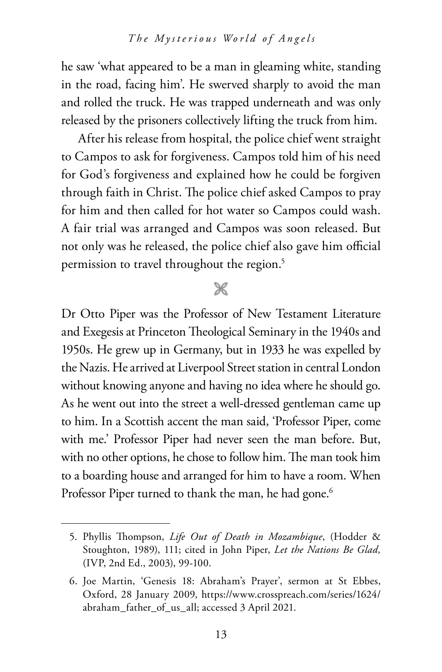*The Mysterious World of Angels*

he saw 'what appeared to be a man in gleaming white, standing in the road, facing him'. He swerved sharply to avoid the man and rolled the truck. He was trapped underneath and was only released by the prisoners collectively lifting the truck from him.

After his release from hospital, the police chief went straight to Campos to ask for forgiveness. Campos told him of his need for God's forgiveness and explained how he could be forgiven through faith in Christ. The police chief asked Campos to pray for him and then called for hot water so Campos could wash. A fair trial was arranged and Campos was soon released. But not only was he released, the police chief also gave him official permission to travel throughout the region.5

# $\mathscr K$

Dr Otto Piper was the Professor of New Testament Literature and Exegesis at Princeton Theological Seminary in the 1940s and 1950s. He grew up in Germany, but in 1933 he was expelled by the Nazis. He arrived at Liverpool Street station in central London without knowing anyone and having no idea where he should go. As he went out into the street a well-dressed gentleman came up to him. In a Scottish accent the man said, 'Professor Piper, come with me.' Professor Piper had never seen the man before. But, with no other options, he chose to follow him. The man took him to a boarding house and arranged for him to have a room. When Professor Piper turned to thank the man, he had gone.<sup>6</sup>

 <sup>5.</sup> Phyllis Thompson, *Life Out of Death in Mozambique*, (Hodder & Stoughton, 1989), 111; cited in John Piper, *Let the Nations Be Glad,* (IVP, 2nd Ed., 2003), 99-100.

 <sup>6.</sup> Joe Martin, 'Genesis 18: Abraham's Prayer', sermon at St Ebbes, Oxford, 28 January 2009, https://www.crosspreach.com/series/1624/ abraham\_father\_of\_us\_all; accessed 3 April 2021.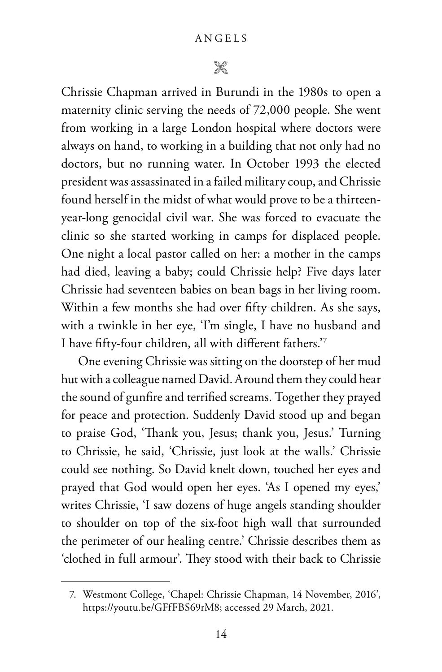### $\mathscr K$

Chrissie Chapman arrived in Burundi in the 1980s to open a maternity clinic serving the needs of 72,000 people. She went from working in a large London hospital where doctors were always on hand, to working in a building that not only had no doctors, but no running water. In October 1993 the elected president was assassinated in a failed military coup, and Chrissie found herself in the midst of what would prove to be a thirteenyear-long genocidal civil war. She was forced to evacuate the clinic so she started working in camps for displaced people. One night a local pastor called on her: a mother in the camps had died, leaving a baby; could Chrissie help? Five days later Chrissie had seventeen babies on bean bags in her living room. Within a few months she had over fifty children. As she says, with a twinkle in her eye, 'I'm single, I have no husband and I have fifty-four children, all with different fathers.'7

One evening Chrissie was sitting on the doorstep of her mud hut with a colleague named David. Around them they could hear the sound of gunfire and terrified screams. Together they prayed for peace and protection. Suddenly David stood up and began to praise God, 'Thank you, Jesus; thank you, Jesus.' Turning to Chrissie, he said, 'Chrissie, just look at the walls.' Chrissie could see nothing. So David knelt down, touched her eyes and prayed that God would open her eyes. 'As I opened my eyes,' writes Chrissie, 'I saw dozens of huge angels standing shoulder to shoulder on top of the six-foot high wall that surrounded the perimeter of our healing centre.' Chrissie describes them as 'clothed in full armour'. They stood with their back to Chrissie

 <sup>7.</sup> Westmont College, 'Chapel: Chrissie Chapman, 14 November, 2016', https://youtu.be/GFfFBS69rM8; accessed 29 March, 2021.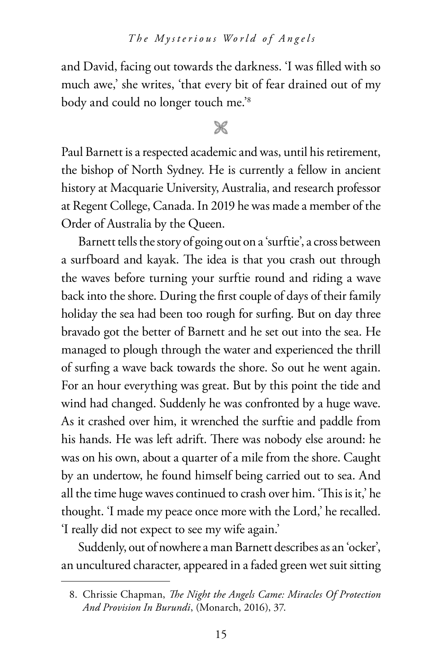and David, facing out towards the darkness. 'I was filled with so much awe,' she writes, 'that every bit of fear drained out of my body and could no longer touch me.'8

 $\mathbb{R}$ 

Paul Barnett is a respected academic and was, until his retirement, the bishop of North Sydney. He is currently a fellow in ancient history at Macquarie University, Australia, and research professor at Regent College, Canada. In 2019 he was made a member of the Order of Australia by the Queen.

Barnett tells the story of going out on a 'surftie', a cross between a surfboard and kayak. The idea is that you crash out through the waves before turning your surftie round and riding a wave back into the shore. During the first couple of days of their family holiday the sea had been too rough for surfing. But on day three bravado got the better of Barnett and he set out into the sea. He managed to plough through the water and experienced the thrill of surfing a wave back towards the shore. So out he went again. For an hour everything was great. But by this point the tide and wind had changed. Suddenly he was confronted by a huge wave. As it crashed over him, it wrenched the surftie and paddle from his hands. He was left adrift. There was nobody else around: he was on his own, about a quarter of a mile from the shore. Caught by an undertow, he found himself being carried out to sea. And all the time huge waves continued to crash over him. 'This is it,' he thought. 'I made my peace once more with the Lord,' he recalled. 'I really did not expect to see my wife again.'

Suddenly, out of nowhere a man Barnett describes as an 'ocker', an uncultured character, appeared in a faded green wet suit sitting

 <sup>8.</sup> Chrissie Chapman, *The Night the Angels Came: Miracles Of Protection And Provision In Burundi*, (Monarch, 2016), 37.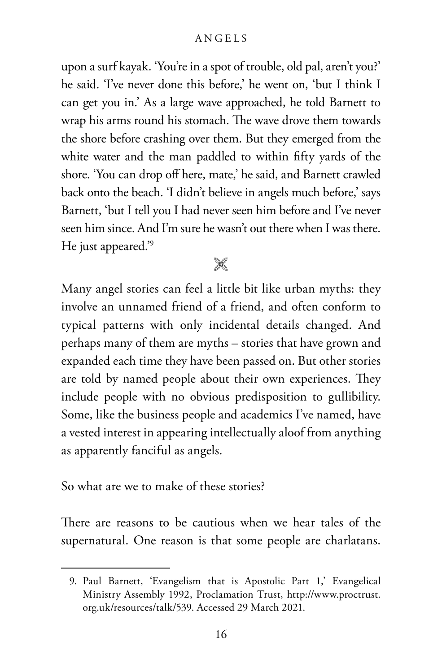upon a surf kayak. 'You're in a spot of trouble, old pal, aren't you?' he said. 'I've never done this before,' he went on, 'but I think I can get you in.' As a large wave approached, he told Barnett to wrap his arms round his stomach. The wave drove them towards the shore before crashing over them. But they emerged from the white water and the man paddled to within fifty yards of the shore. 'You can drop off here, mate,' he said, and Barnett crawled back onto the beach. 'I didn't believe in angels much before,' says Barnett, 'but I tell you I had never seen him before and I've never seen him since. And I'm sure he wasn't out there when I was there. He just appeared.'<sup>9</sup>

 $\mathscr K$ 

Many angel stories can feel a little bit like urban myths: they involve an unnamed friend of a friend, and often conform to typical patterns with only incidental details changed. And perhaps many of them are myths – stories that have grown and expanded each time they have been passed on. But other stories are told by named people about their own experiences. They include people with no obvious predisposition to gullibility. Some, like the business people and academics I've named, have a vested interest in appearing intellectually aloof from anything as apparently fanciful as angels.

So what are we to make of these stories?

There are reasons to be cautious when we hear tales of the supernatural. One reason is that some people are charlatans.

 <sup>9.</sup> Paul Barnett, 'Evangelism that is Apostolic Part 1,' Evangelical Ministry Assembly 1992, Proclamation Trust, http://www.proctrust. org.uk/resources/talk/539. Accessed 29 March 2021.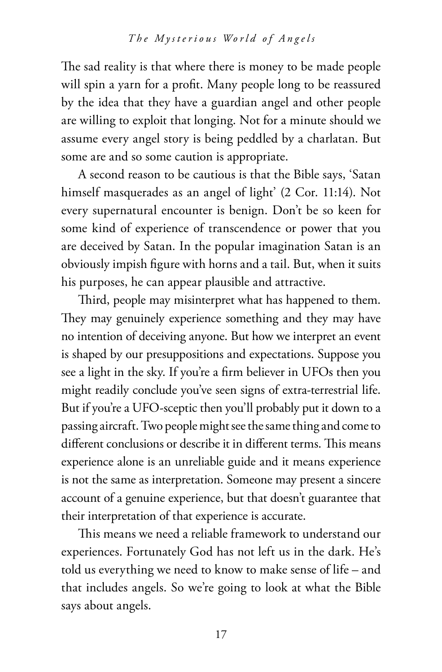The sad reality is that where there is money to be made people will spin a yarn for a profit. Many people long to be reassured by the idea that they have a guardian angel and other people are willing to exploit that longing. Not for a minute should we assume every angel story is being peddled by a charlatan. But some are and so some caution is appropriate.

A second reason to be cautious is that the Bible says, 'Satan himself masquerades as an angel of light' (2 Cor. 11:14). Not every supernatural encounter is benign. Don't be so keen for some kind of experience of transcendence or power that you are deceived by Satan. In the popular imagination Satan is an obviously impish figure with horns and a tail. But, when it suits his purposes, he can appear plausible and attractive.

Third, people may misinterpret what has happened to them. They may genuinely experience something and they may have no intention of deceiving anyone. But how we interpret an event is shaped by our presuppositions and expectations. Suppose you see a light in the sky. If you're a firm believer in UFOs then you might readily conclude you've seen signs of extra-terrestrial life. But if you're a UFO-sceptic then you'll probably put it down to a passing aircraft. Two people might see the same thing and come to different conclusions or describe it in different terms. This means experience alone is an unreliable guide and it means experience is not the same as interpretation. Someone may present a sincere account of a genuine experience, but that doesn't guarantee that their interpretation of that experience is accurate.

This means we need a reliable framework to understand our experiences. Fortunately God has not left us in the dark. He's told us everything we need to know to make sense of life – and that includes angels. So we're going to look at what the Bible says about angels.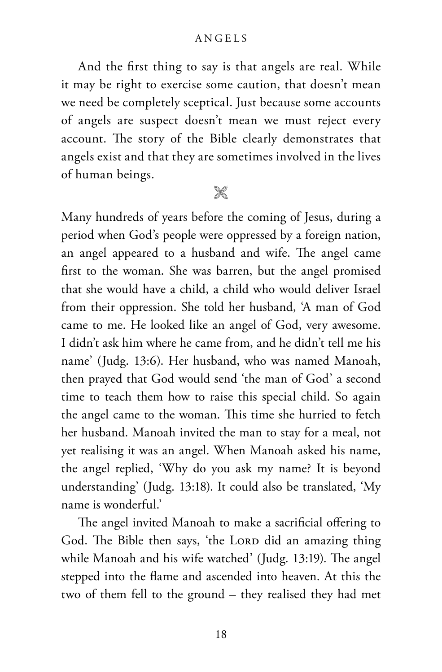And the first thing to say is that angels are real. While it may be right to exercise some caution, that doesn't mean we need be completely sceptical. Just because some accounts of angels are suspect doesn't mean we must reject every account. The story of the Bible clearly demonstrates that angels exist and that they are sometimes involved in the lives of human beings.

 $\mathscr K$ 

Many hundreds of years before the coming of Jesus, during a period when God's people were oppressed by a foreign nation, an angel appeared to a husband and wife. The angel came first to the woman. She was barren, but the angel promised that she would have a child, a child who would deliver Israel from their oppression. She told her husband, 'A man of God came to me. He looked like an angel of God, very awesome. I didn't ask him where he came from, and he didn't tell me his name' (Judg. 13:6). Her husband, who was named Manoah, then prayed that God would send 'the man of God' a second time to teach them how to raise this special child. So again the angel came to the woman. This time she hurried to fetch her husband. Manoah invited the man to stay for a meal, not yet realising it was an angel. When Manoah asked his name, the angel replied, 'Why do you ask my name? It is beyond understanding' (Judg. 13:18). It could also be translated, 'My name is wonderful.'

The angel invited Manoah to make a sacrificial offering to God. The Bible then says, 'the LORD did an amazing thing while Manoah and his wife watched' (Judg. 13:19). The angel stepped into the flame and ascended into heaven. At this the two of them fell to the ground – they realised they had met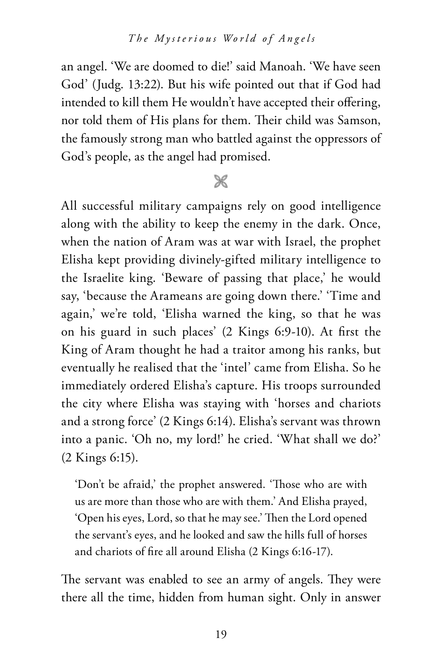an angel. 'We are doomed to die!' said Manoah. 'We have seen God' (Judg. 13:22). But his wife pointed out that if God had intended to kill them He wouldn't have accepted their offering, nor told them of His plans for them. Their child was Samson, the famously strong man who battled against the oppressors of God's people, as the angel had promised.

### $\mathscr{L}$

All successful military campaigns rely on good intelligence along with the ability to keep the enemy in the dark. Once, when the nation of Aram was at war with Israel, the prophet Elisha kept providing divinely-gifted military intelligence to the Israelite king. 'Beware of passing that place,' he would say, 'because the Arameans are going down there.' 'Time and again,' we're told, 'Elisha warned the king, so that he was on his guard in such places' (2 Kings 6:9-10). At first the King of Aram thought he had a traitor among his ranks, but eventually he realised that the 'intel' came from Elisha. So he immediately ordered Elisha's capture. His troops surrounded the city where Elisha was staying with 'horses and chariots and a strong force' (2 Kings 6:14). Elisha's servant was thrown into a panic. 'Oh no, my lord!' he cried. 'What shall we do?' (2 Kings 6:15).

'Don't be afraid,' the prophet answered. 'Those who are with us are more than those who are with them.' And Elisha prayed, 'Open his eyes, Lord, so that he may see.' Then the Lord opened the servant's eyes, and he looked and saw the hills full of horses and chariots of fire all around Elisha (2 Kings 6:16-17).

The servant was enabled to see an army of angels. They were there all the time, hidden from human sight. Only in answer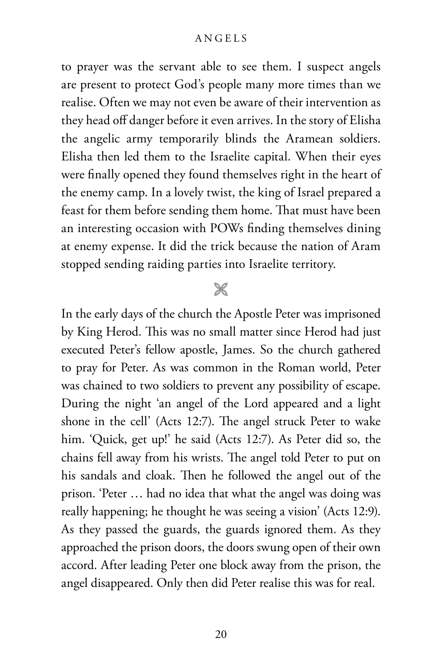to prayer was the servant able to see them. I suspect angels are present to protect God's people many more times than we realise. Often we may not even be aware of their intervention as they head off danger before it even arrives. In the story of Elisha the angelic army temporarily blinds the Aramean soldiers. Elisha then led them to the Israelite capital. When their eyes were finally opened they found themselves right in the heart of the enemy camp. In a lovely twist, the king of Israel prepared a feast for them before sending them home. That must have been an interesting occasion with POWs finding themselves dining at enemy expense. It did the trick because the nation of Aram stopped sending raiding parties into Israelite territory.

# $\mathbb{X}$

In the early days of the church the Apostle Peter was imprisoned by King Herod. This was no small matter since Herod had just executed Peter's fellow apostle, James. So the church gathered to pray for Peter. As was common in the Roman world, Peter was chained to two soldiers to prevent any possibility of escape. During the night 'an angel of the Lord appeared and a light shone in the cell' (Acts 12:7). The angel struck Peter to wake him. 'Quick, get up!' he said (Acts 12:7). As Peter did so, the chains fell away from his wrists. The angel told Peter to put on his sandals and cloak. Then he followed the angel out of the prison. 'Peter … had no idea that what the angel was doing was really happening; he thought he was seeing a vision' (Acts 12:9). As they passed the guards, the guards ignored them. As they approached the prison doors, the doors swung open of their own accord. After leading Peter one block away from the prison, the angel disappeared. Only then did Peter realise this was for real.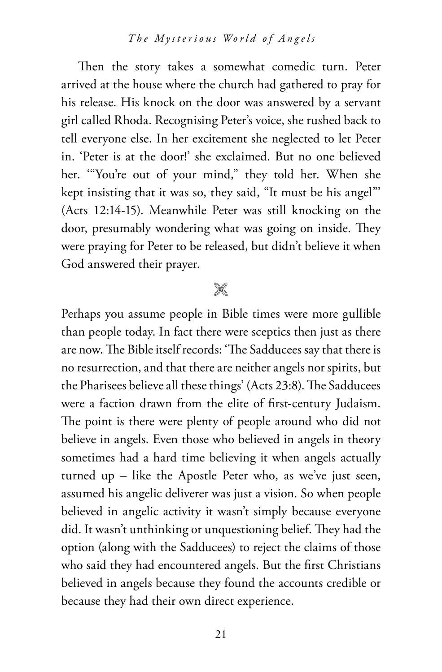Then the story takes a somewhat comedic turn. Peter arrived at the house where the church had gathered to pray for his release. His knock on the door was answered by a servant girl called Rhoda. Recognising Peter's voice, she rushed back to tell everyone else. In her excitement she neglected to let Peter in. 'Peter is at the door!' she exclaimed. But no one believed her. '"You're out of your mind," they told her. When she kept insisting that it was so, they said, "It must be his angel"' (Acts 12:14-15). Meanwhile Peter was still knocking on the door, presumably wondering what was going on inside. They were praying for Peter to be released, but didn't believe it when God answered their prayer.

# X

Perhaps you assume people in Bible times were more gullible than people today. In fact there were sceptics then just as there are now. The Bible itself records: 'The Sadducees say that there is no resurrection, and that there are neither angels nor spirits, but the Pharisees believe all these things' (Acts 23:8). The Sadducees were a faction drawn from the elite of first-century Judaism. The point is there were plenty of people around who did not believe in angels. Even those who believed in angels in theory sometimes had a hard time believing it when angels actually turned up – like the Apostle Peter who, as we've just seen, assumed his angelic deliverer was just a vision. So when people believed in angelic activity it wasn't simply because everyone did. It wasn't unthinking or unquestioning belief. They had the option (along with the Sadducees) to reject the claims of those who said they had encountered angels. But the first Christians believed in angels because they found the accounts credible or because they had their own direct experience.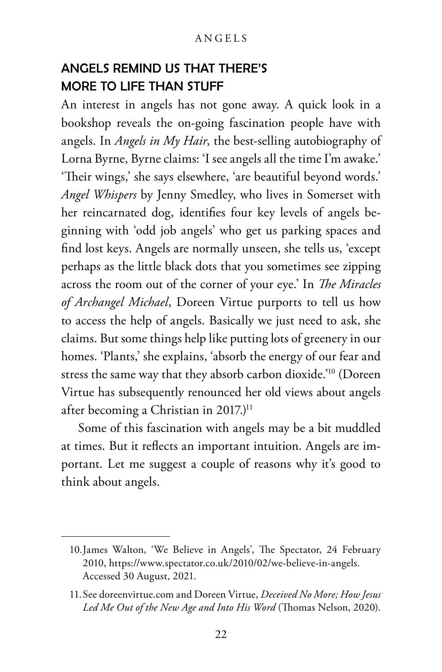### ANGELS REMIND US THAT THERE'S MORE TO LIFE THAN STUFF

An interest in angels has not gone away. A quick look in a bookshop reveals the on-going fascination people have with angels. In *Angels in My Hair*, the best-selling autobiography of Lorna Byrne, Byrne claims: 'I see angels all the time I'm awake.' 'Their wings,' she says elsewhere, 'are beautiful beyond words.' *Angel Whispers* by Jenny Smedley, who lives in Somerset with her reincarnated dog, identifies four key levels of angels beginning with 'odd job angels' who get us parking spaces and find lost keys. Angels are normally unseen, she tells us, 'except perhaps as the little black dots that you sometimes see zipping across the room out of the corner of your eye.' In *The Miracles of Archangel Michael*, Doreen Virtue purports to tell us how to access the help of angels. Basically we just need to ask, she claims. But some things help like putting lots of greenery in our homes. 'Plants,' she explains, 'absorb the energy of our fear and stress the same way that they absorb carbon dioxide.'10 (Doreen Virtue has subsequently renounced her old views about angels after becoming a Christian in 2017.)<sup>11</sup>

Some of this fascination with angels may be a bit muddled at times. But it reflects an important intuition. Angels are important. Let me suggest a couple of reasons why it's good to think about angels.

 <sup>10.</sup>James Walton, 'We Believe in Angels', The Spectator, 24 February 2010, https://www.spectator.co.uk/2010/02/we-believe-in-angels. Accessed 30 August, 2021.

 <sup>11.</sup>See doreenvirtue.com and Doreen Virtue, *Deceived No More; How Jesus Led Me Out of the New Age and Into His Word* (Thomas Nelson, 2020).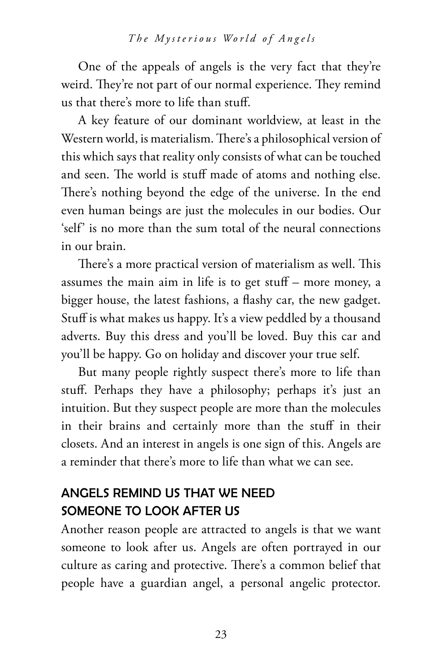One of the appeals of angels is the very fact that they're weird. They're not part of our normal experience. They remind us that there's more to life than stuff.

A key feature of our dominant worldview, at least in the Western world, is materialism. There's a philosophical version of this which says that reality only consists of what can be touched and seen. The world is stuff made of atoms and nothing else. There's nothing beyond the edge of the universe. In the end even human beings are just the molecules in our bodies. Our 'self' is no more than the sum total of the neural connections in our brain.

There's a more practical version of materialism as well. This assumes the main aim in life is to get stuff – more money, a bigger house, the latest fashions, a flashy car, the new gadget. Stuff is what makes us happy. It's a view peddled by a thousand adverts. Buy this dress and you'll be loved. Buy this car and you'll be happy. Go on holiday and discover your true self.

But many people rightly suspect there's more to life than stuff. Perhaps they have a philosophy; perhaps it's just an intuition. But they suspect people are more than the molecules in their brains and certainly more than the stuff in their closets. And an interest in angels is one sign of this. Angels are a reminder that there's more to life than what we can see.

# ANGELS REMIND US THAT WE NEED SOMEONE TO LOOK AFTER US

Another reason people are attracted to angels is that we want someone to look after us. Angels are often portrayed in our culture as caring and protective. There's a common belief that people have a guardian angel, a personal angelic protector.